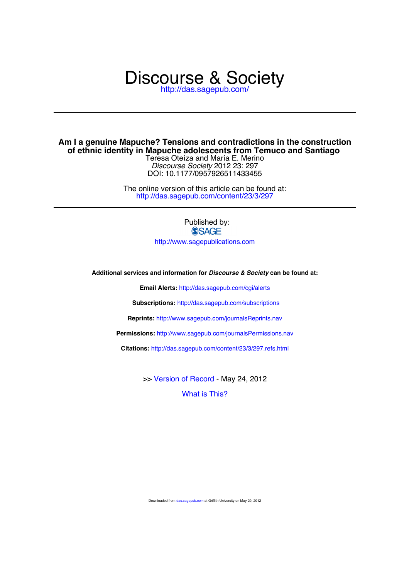# Discourse & Society

http://das.sagepub.com/

# DOI: 10.1177/0957926511433455 *Discourse Society* 2012 23: 297 Teresa Oteíza and María E. Merino **of ethnic identity in Mapuche adolescents from Temuco and Santiago Am I a genuine Mapuche? Tensions and contradictions in the construction**

http://das.sagepub.com/content/23/3/297 The online version of this article can be found at:

> Published by:<br>
> SAGE http://www.sagepublications.com

**Additional services and information for** *Discourse & Society* **can be found at:**

**Email Alerts:** http://das.sagepub.com/cgi/alerts

**Subscriptions:** http://das.sagepub.com/subscriptions

**Reprints:** http://www.sagepub.com/journalsReprints.nav

**Permissions:** http://www.sagepub.com/journalsPermissions.nav

**Citations:** http://das.sagepub.com/content/23/3/297.refs.html

>> Version of Record - May 24, 2012

What is This?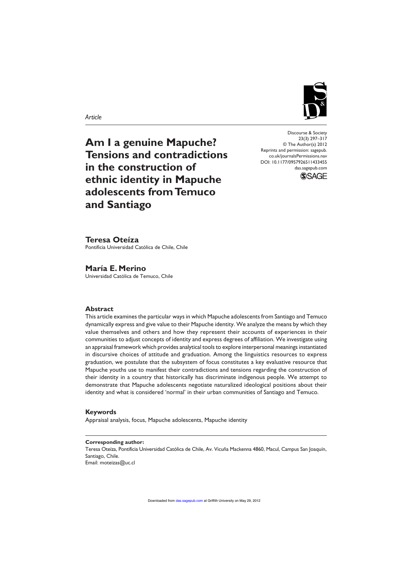

**Am I a genuine Mapuche? Tensions and contradictions in the construction of ethnic identity in Mapuche adolescents from Temuco and Santiago**

Discourse & Society 23(3) 297–317 © The Author(s) 2012 Reprints and permission: sagepub. co.uk/journalsPermissions.nav DOI: 10.1177/0957926511433455 das.sagepub.com



# **Teresa Oteíza**

Pontificia Universidad Católica de Chile, Chile

# **María E. Merino**

Universidad Católica de Temuco, Chile

## **Abstract**

*Article*

This article examines the particular ways in which Mapuche adolescents from Santiago and Temuco dynamically express and give value to their Mapuche identity. We analyze the means by which they value themselves and others and how they represent their accounts of experiences in their communities to adjust concepts of identity and express degrees of affiliation. We investigate using an appraisal framework which provides analytical tools to explore interpersonal meanings instantiated in discursive choices of attitude and graduation. Among the linguistics resources to express graduation, we postulate that the subsystem of focus constitutes a key evaluative resource that Mapuche youths use to manifest their contradictions and tensions regarding the construction of their identity in a country that historically has discriminate indigenous people. We attempt to demonstrate that Mapuche adolescents negotiate naturalized ideological positions about their identity and what is considered 'normal' in their urban communities of Santiago and Temuco.

### **Keywords**

Appraisal analysis, focus, Mapuche adolescents, Mapuche identity

#### **Corresponding author:**

Teresa Oteíza, Pontificia Universidad Católica de Chile, Av. Vicuña Mackenna 4860, Macul, Campus San Joaquín, Santiago, Chile.

Email: moteizas@uc.cl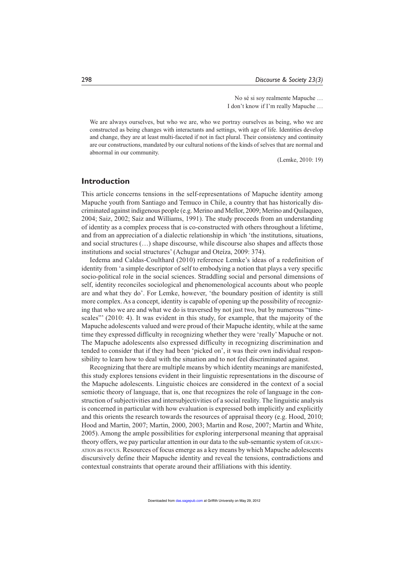No sé si soy realmente Mapuche … I don't know if I'm really Mapuche …

We are always ourselves, but who we are, who we portray ourselves as being, who we are constructed as being changes with interactants and settings, with age of life. Identities develop and change, they are at least multi-faceted if not in fact plural. Their consistency and continuity are our constructions, mandated by our cultural notions of the kinds of selves that are normal and abnormal in our community.

(Lemke, 2010: 19)

## **Introduction**

This article concerns tensions in the self-representations of Mapuche identity among Mapuche youth from Santiago and Temuco in Chile, a country that has historically discriminated against indigenous people (e.g. Merino and Mellor, 2009; Merino and Quilaqueo, 2004; Saiz, 2002; Saiz and Williams, 1991). The study proceeds from an understanding of identity as a complex process that is co-constructed with others throughout a lifetime, and from an appreciation of a dialectic relationship in which 'the institutions, situations, and social structures (…) shape discourse, while discourse also shapes and affects those institutions and social structures' (Achugar and Oteíza, 2009: 374).

Iedema and Caldas-Coulthard (2010) reference Lemke's ideas of a redefinition of identity from 'a simple descriptor of self to embodying a notion that plays a very specific socio-political role in the social sciences. Straddling social and personal dimensions of self, identity reconciles sociological and phenomenological accounts about who people are and what they do'. For Lemke, however, 'the boundary position of identity is still more complex. As a concept, identity is capable of opening up the possibility of recognizing that who we are and what we do is traversed by not just two, but by numerous "timescales"' (2010: 4). It was evident in this study, for example, that the majority of the Mapuche adolescents valued and were proud of their Mapuche identity, while at the same time they expressed difficulty in recognizing whether they were 'really' Mapuche or not. The Mapuche adolescents also expressed difficulty in recognizing discrimination and tended to consider that if they had been 'picked on', it was their own individual responsibility to learn how to deal with the situation and to not feel discriminated against.

Recognizing that there are multiple means by which identity meanings are manifested, this study explores tensions evident in their linguistic representations in the discourse of the Mapuche adolescents. Linguistic choices are considered in the context of a social semiotic theory of language, that is, one that recognizes the role of language in the construction of subjectivities and intersubjectivities of a social reality. The linguistic analysis is concerned in particular with how evaluation is expressed both implicitly and explicitly and this orients the research towards the resources of appraisal theory (e.g. Hood, 2010; Hood and Martin, 2007; Martin, 2000, 2003; Martin and Rose, 2007; Martin and White, 2005). Among the ample possibilities for exploring interpersonal meaning that appraisal theory offers, we pay particular attention in our data to the sub-semantic system of GRADU-ATION as FOCUS. Resources of focus emerge as a key means by which Mapuche adolescents discursively define their Mapuche identity and reveal the tensions, contradictions and contextual constraints that operate around their affiliations with this identity.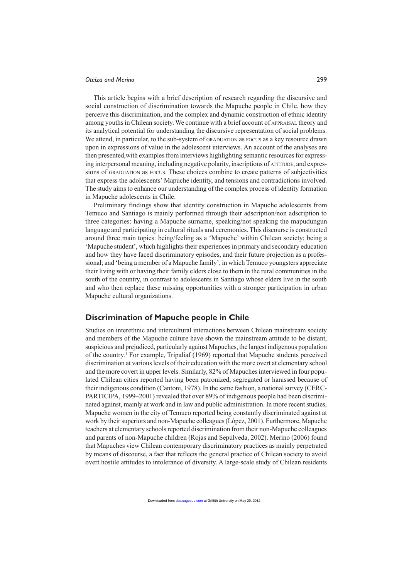This article begins with a brief description of research regarding the discursive and social construction of discrimination towards the Mapuche people in Chile, how they perceive this discrimination, and the complex and dynamic construction of ethnic identity among youths in Chilean society. We continue with a brief account of APPRAISAL theory and its analytical potential for understanding the discursive representation of social problems. We attend, in particular, to the sub-system of GRADUATION as FOCUS as a key resource drawn upon in expressions of value in the adolescent interviews. An account of the analyses are then presented,with examples from interviews highlighting semantic resources for expressing interpersonal meaning, including negative polarity, inscriptions of ATTITUDE, and expressions of GRADUATION as FOCUS. These choices combine to create patterns of subjectivities that express the adolescents' Mapuche identity, and tensions and contradictions involved. The study aims to enhance our understanding of the complex process of identity formation in Mapuche adolescents in Chile.

Preliminary findings show that identity construction in Mapuche adolescents from Temuco and Santiago is mainly performed through their adscription/non adscription to three categories: having a Mapuche surname, speaking/not speaking the mapudungun language and participating in cultural rituals and ceremonies. This discourse is constructed around three main topics: being/feeling as a 'Mapuche' within Chilean society; being a 'Mapuche student', which highlights their experiences in primary and secondary education and how they have faced discriminatory episodes, and their future projection as a professional; and 'being a member of a Mapuche family', in which Temuco youngsters appreciate their living with or having their family elders close to them in the rural communities in the south of the country, in contrast to adolescents in Santiago whose elders live in the south and who then replace these missing opportunities with a stronger participation in urban Mapuche cultural organizations.

# **Discrimination of Mapuche people in Chile**

Studies on interethnic and intercultural interactions between Chilean mainstream society and members of the Mapuche culture have shown the mainstream attitude to be distant, suspicious and prejudiced, particularly against Mapuches, the largest indigenous population of the country.1 For example, Tripaliaf (1969) reported that Mapuche students perceived discrimination at various levels of their education with the more overt at elementary school and the more covert in upper levels. Similarly, 82% of Mapuches interviewed in four populated Chilean cities reported having been patronized, segregated or harassed because of their indigenous condition (Cantoni, 1978). In the same fashion, a national survey (CERC-PARTICIPA, 1999–2001) revealed that over 89% of indigenous people had been discriminated against, mainly at work and in law and public administration. In more recent studies, Mapuche women in the city of Temuco reported being constantly discriminated against at work by their superiors and non-Mapuche colleagues (López, 2001). Furthermore, Mapuche teachers at elementary schools reported discrimination from their non-Mapuche colleagues and parents of non-Mapuche children (Rojas and Sepúlveda, 2002). Merino (2006) found that Mapuches view Chilean contemporary discriminatory practices as mainly perpetrated by means of discourse, a fact that reflects the general practice of Chilean society to avoid overt hostile attitudes to intolerance of diversity. A large-scale study of Chilean residents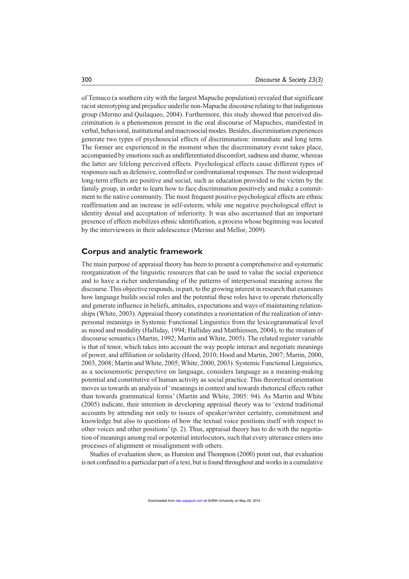of Temuco (a southern city with the largest Mapuche population) revealed that significant racist stereotyping and prejudice underlie non-Mapuche discourse relating to that indigenous group (Merino and Quilaqueo, 2004). Furthermore, this study showed that perceived discrimination is a phenomenon present in the oral discourse of Mapuches, manifested in verbal, behavioral, institutional and macrosocial modes. Besides, discrimination experiences generate two types of psychosocial effects of discrimination: immediate and long term. The former are experienced in the moment when the discriminatory event takes place, accompanied by emotions such as undifferentiated discomfort, sadness and shame, whereas the latter are lifelong perceived effects. Psychological effects cause different types of responses such as defensive, controlled or confrontational responses. The most widespread long-term effects are positive and social, such as education provided to the victim by the family group, in order to learn how to face discrimination positively and make a commitment to the native community. The most frequent positive psychological effects are ethnic reaffirmation and an increase in self-esteem, while one negative psychological effect is identity denial and acceptation of inferiority. It was also ascertained that an important presence of effects mobilizes ethnic identification, a process whose beginning was located by the interviewees in their adolescence (Merino and Mellor, 2009).

# **Corpus and analytic framework**

The main purpose of appraisal theory has been to present a comprehensive and systematic reorganization of the linguistic resources that can be used to value the social experience and to have a richer understanding of the patterns of interpersonal meaning across the discourse. This objective responds, in part, to the growing interest in research that examines how language builds social roles and the potential these roles have to operate rhetorically and generate influence in beliefs, attitudes, expectations and ways of maintaining relationships (White, 2003). Appraisal theory constitutes a reorientation of the realization of interpersonal meanings in Systemic Functional Linguistics from the lexicogrammatical level as mood and modality (Halliday, 1994; Halliday and Matthiessen, 2004), to the stratum of discourse semantics (Martin, 1992; Martin and White, 2005). The related register variable is that of tenor, which takes into account the way people interact and negotiate meanings of power, and affiliation or solidarity (Hood, 2010; Hood and Martin, 2007; Martin, 2000, 2003, 2008; Martin and White, 2005; White, 2000, 2003). Systemic Functional Linguistics, as a sociosemiotic perspective on language, considers language as a meaning-making potential and constitutive of human activity as social practice. This theoretical orientation moves us towards an analysis of 'meanings in context and towards rhetorical effects rather than towards grammatical forms' (Martin and White, 2005: 94). As Martin and White (2005) indicate, their intention in developing appraisal theory was to 'extend traditional accounts by attending not only to issues of speaker/writer certainty, commitment and knowledge but also to questions of how the textual voice positions itself with respect to other voices and other positions' (p. 2). Thus, appraisal theory has to do with the negotiation of meanings among real or potential interlocutors, such that every utterance enters into processes of alignment or misalignment with others.

Studies of evaluation show, as Hunston and Thompson (2000) point out, that evaluation is not confined to a particular part of a text, but is found throughout and works in a cumulative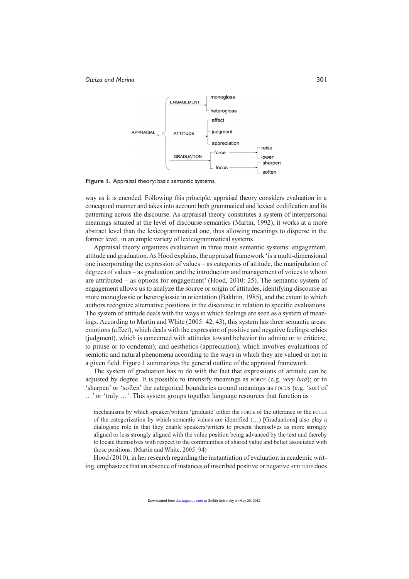

**Figure 1.** Appraisal theory: basic semantic systems.

way as it is encoded. Following this principle, appraisal theory considers evaluation in a conceptual manner and takes into account both grammatical and lexical codification and its patterning across the discourse. As appraisal theory constitutes a system of interpersonal meanings situated at the level of discourse semantics (Martin, 1992), it works at a more abstract level than the lexicogrammatical one, thus allowing meanings to disperse in the former level, in an ample variety of lexicogrammatical systems.

Appraisal theory organizes evaluation in three main semantic systems: engagement, attitude and graduation. As Hood explains, the appraisal framework 'is a multi-dimensional one incorporating the expression of values – as categories of attitude, the manipulation of degrees of values – as graduation, and the introduction and management of voices to whom are attributed – as options for engagement' (Hood, 2010: 25). The semantic system of engagement allows us to analyze the source or origin of attitudes, identifying discourse as more monoglossic or heteroglossic in orientation (Bakhtin, 1985), and the extent to which authors recognize alternative positions in the discourse in relation to specific evaluations. The system of attitude deals with the ways in which feelings are seen as a system of meanings. According to Martin and White (2005: 42, 43), this system has three semantic areas: emotions (affect), which deals with the expression of positive and negative feelings; ethics (judgment), which is concerned with attitudes toward behavior (to admire or to criticize, to praise or to condemn); and aesthetics (appreciation), which involves evaluations of semiotic and natural phenomena according to the ways in which they are valued or not in a given field. Figure 1 summarizes the general outline of the appraisal framework.

The system of graduation has to do with the fact that expressions of attitude can be adjusted by degree. It is possible to intensify meanings as FORCE (e.g. *very bad*); or to 'sharpen' or 'soften' the categorical boundaries around meanings as FOCUS (e.g. 'sort of …' or 'truly …'. This system groups together language resources that function as

mechanisms by which speaker/writers 'graduate' either the FORCE of the utterance or the FOCUS of the categorization by which semantic values are identified (…) [Graduations] also play a dialogistic role in that they enable speakers/writers to present themselves as more strongly aligned or less strongly aligned with the value position being advanced by the text and thereby to locate themselves with respect to the communities of shared value and belief associated with those positions. (Martin and White, 2005: 94)

Hood (2010), in her research regarding the instantiation of evaluation in academic writing, emphasizes that an absence of instances of inscribed positive or negative ATTITUDE does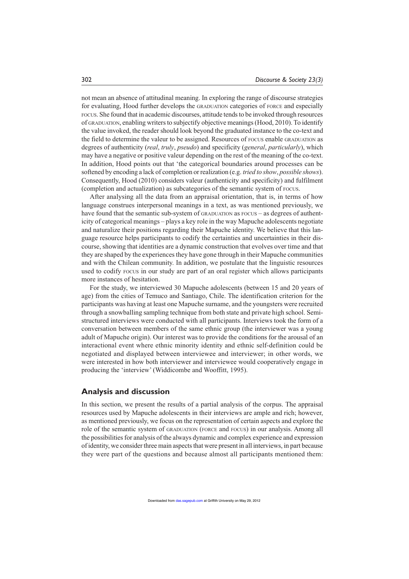not mean an absence of attitudinal meaning. In exploring the range of discourse strategies for evaluating, Hood further develops the GRADUATION categories of FORCE and especially FOCUS. She found that in academic discourses, attitude tends to be invoked through resources of GRADUATION, enabling writers to subjectify objective meanings (Hood, 2010). To identify the value invoked, the reader should look beyond the graduated instance to the co-text and the field to determine the valeur to be assigned. Resources of FOCUS enable GRADUATION as degrees of authenticity (*real*, *truly*, *pseudo*) and specificity (*general*, *particularly*), which may have a negative or positive valeur depending on the rest of the meaning of the co-text. In addition, Hood points out that 'the categorical boundaries around processes can be softened by encoding a lack of completion or realization (e.g. *tried to show*, *possible shows*). Consequently, Hood (2010) considers valeur (authenticity and specificity) and fulfilment (completion and actualization) as subcategories of the semantic system of FOCUS.

After analysing all the data from an appraisal orientation, that is, in terms of how language construes interpersonal meanings in a text, as was mentioned previously, we have found that the semantic sub-system of GRADUATION as FOCUS – as degrees of authenticity of categorical meanings – plays a key role in the way Mapuche adolescents negotiate and naturalize their positions regarding their Mapuche identity. We believe that this language resource helps participants to codify the certainties and uncertainties in their discourse, showing that identities are a dynamic construction that evolves over time and that they are shaped by the experiences they have gone through in their Mapuche communities and with the Chilean community. In addition, we postulate that the linguistic resources used to codify FOCUS in our study are part of an oral register which allows participants more instances of hesitation.

For the study, we interviewed 30 Mapuche adolescents (between 15 and 20 years of age) from the cities of Temuco and Santiago, Chile. The identification criterion for the participants was having at least one Mapuche surname, and the youngsters were recruited through a snowballing sampling technique from both state and private high school. Semistructured interviews were conducted with all participants. Interviews took the form of a conversation between members of the same ethnic group (the interviewer was a young adult of Mapuche origin). Our interest was to provide the conditions for the arousal of an interactional event where ethnic minority identity and ethnic self-definition could be negotiated and displayed between interviewee and interviewer; in other words, we were interested in how both interviewer and interviewee would cooperatively engage in producing the 'interview' (Widdicombe and Wooffitt, 1995).

## **Analysis and discussion**

In this section, we present the results of a partial analysis of the corpus. The appraisal resources used by Mapuche adolescents in their interviews are ample and rich; however, as mentioned previously, we focus on the representation of certain aspects and explore the role of the semantic system of GRADUATION (FORCE and FOCUS) in our analysis. Among all the possibilities for analysis of the always dynamic and complex experience and expression of identity, we consider three main aspects that were present in all interviews, in part because they were part of the questions and because almost all participants mentioned them: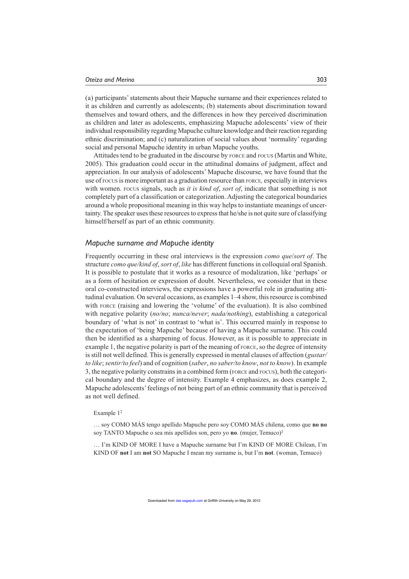(a) participants' statements about their Mapuche surname and their experiences related to it as children and currently as adolescents; (b) statements about discrimination toward themselves and toward others, and the differences in how they perceived discrimination as children and later as adolescents, emphasizing Mapuche adolescents' view of their individual responsibility regarding Mapuche culture knowledge and their reaction regarding ethnic discrimination; and (c) naturalization of social values about 'normality' regarding social and personal Mapuche identity in urban Mapuche youths.

Attitudes tend to be graduated in the discourse by FORCE and FOCUS (Martin and White, 2005). This graduation could occur in the attitudinal domains of judgment, affect and appreciation. In our analysis of adolescents' Mapuche discourse, we have found that the use of FOCUS is more important as a graduation resource than FORCE*,* especially in interviews with women. Focus signals, such as *it is kind of*, *sort of*, indicate that something is not completely part of a classification or categorization. Adjusting the categorical boundaries around a whole propositional meaning in this way helps to instantiate meanings of uncertainty. The speaker uses these resources to express that he/she is not quite sure of classifying himself/herself as part of an ethnic community.

## *Mapuche surname and Mapuche identity*

Frequently occurring in these oral interviews is the expression *como que*/*sort of*. The structure *como que/kind of*, *sort of*, *like* has different functions in colloquial oral Spanish. It is possible to postulate that it works as a resource of modalization, like 'perhaps' or as a form of hesitation or expression of doubt. Nevertheless, we consider that in these oral co-constructed interviews, the expressions have a powerful role in graduating attitudinal evaluation. On several occasions, as examples 1–4 show, this resource is combined with FORCE (raising and lowering the 'volume' of the evaluation). It is also combined with negative polarity (*no/no*; *nunca/never*; *nada/nothing*), establishing a categorical boundary of 'what is not' in contrast to 'what is'. This occurred mainly in response to the expectation of 'being Mapuche' because of having a Mapuche surname. This could then be identified as a sharpening of focus. However, as it is possible to appreciate in example 1, the negative polarity is part of the meaning of FORCE, so the degree of intensity is still not well defined. This is generally expressed in mental clauses of affection (*gustar/ to like*; *sentir/to feel*) and of cognition (*saber*, *no saber/to know*, *not to know*). In example 3, the negative polarity constrains in a combined form (FORCE and FOCUS), both the categorical boundary and the degree of intensity. Example 4 emphasizes, as does example 2, Mapuche adolescents' feelings of not being part of an ethnic community that is perceived as not well defined.

## Example 12

… soy COMO MÁS tengo apellido Mapuche pero soy COMO MÁS chilena, como que **no no** soy TANTO Mapuche o sea mis apellidos son, pero yo **no**. (mujer, Temuco)3

… I'm KIND OF MORE I have a Mapuche surname but I'm KIND OF MORE Chilean, I'm KIND OF **not** I am **not** SO Mapuche I mean my surname is, but I'm **not**. (woman, Temuco)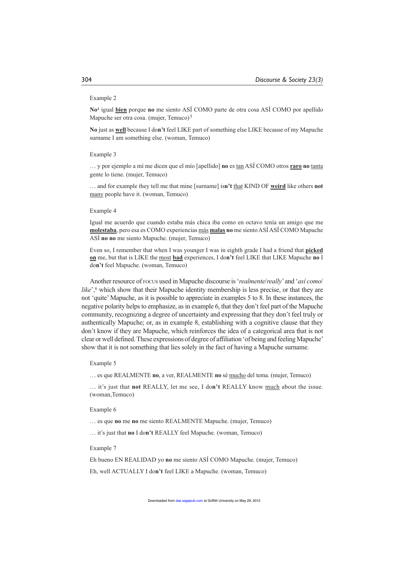**No**4 igual **bien** porque **no** me siento ASÍ COMO parte de otra cosa ASÍ COMO por apellido Mapuche ser otra cosa. (mujer, Temuco)<sup>5</sup>

**No** just as **well** because I do**n't** feel LIKE part of something else LIKE because of my Mapuche surname I am something else. (woman, Temuco)

## Example 3

… y por ejemplo a mí me dicen que el mío [apellido] **no** es tan ASÍ COMO otros **raro no** tanta gente lo tiene. (mujer, Temuco)

… and for example they tell me that mine [surname] is**n't** that KIND OF **weird** like others **not** many people have it. (woman, Temuco)

## Example 4

Igual me acuerdo que cuando estaba más chica iba como en octavo tenía un amigo que me **molestaba**, pero esa es COMO experiencias más **malas no** me siento ASÍ ASÍ COMO Mapuche ASÍ **no no** me siento Mapuche. (mujer, Temuco)

Even so, I remember that when I was younger I was in eighth grade I had a friend that **picked on** me, but that is LIKE the most **bad** experiences, I do**n't** feel LIKE that LIKE Mapuche **no** I do**n't** feel Mapuche. (woman, Temuco)

Another resource of FOCUS used in Mapuche discourse is '*realmente*/*really*' and '*así como*/ *like*',<sup>6</sup> which show that their Mapuche identity membership is less precise, or that they are not 'quite' Mapuche, as it is possible to appreciate in examples 5 to 8. In these instances, the negative polarity helps to emphasize, as in example 6, that they don't feel part of the Mapuche community, recognizing a degree of uncertainty and expressing that they don't feel truly or authentically Mapuche; or, as in example 8, establishing with a cognitive clause that they don't know if they are Mapuche, which reinforces the idea of a categorical area that is not clear or well defined. These expressions of degree of affiliation 'of being and feeling Mapuche' show that it is not something that lies solely in the fact of having a Mapuche surname.

#### Example 5

… es que REALMENTE **no**, a ver, REALMENTE **no** sé mucho del tema. (mujer, Temuco)

… it's just that **not** REALLY, let me see, I do**n't** REALLY know much about the issue. (woman,Temuco)

## Example 6

… es que **no** me **no** me siento REALMENTE Mapuche. (mujer, Temuco)

… it's just that **no** I do**n't** REALLY feel Mapuche. (woman, Temuco)

Example 7

Eh bueno EN REALIDAD yo **no** me siento ASÍ COMO Mapuche. (mujer, Temuco)

Eh, well ACTUALLY I do**n't** feel LIKE a Mapuche. (woman, Temuco)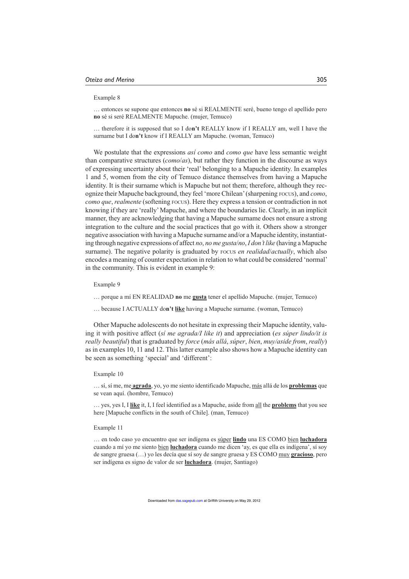… entonces se supone que entonces **no** sé si REALMENTE seré, bueno tengo el apellido pero **no** sé si seré REALMENTE Mapuche. (mujer, Temuco)

… therefore it is supposed that so I do**n't** REALLY know if I REALLY am, well I have the surname but I do**n't** know if I REALLY am Mapuche. (woman, Temuco)

We postulate that the expressions *así como* and *como que* have less semantic weight than comparative structures (*como*/*as*), but rather they function in the discourse as ways of expressing uncertainty about their 'real' belonging to a Mapuche identity. In examples 1 and 5, women from the city of Temuco distance themselves from having a Mapuche identity. It is their surname which is Mapuche but not them; therefore, although they recognize their Mapuche background, they feel 'more Chilean' (sharpening FOCUS), and *como*, *como que, realmente* (softening FOCUS). Here they express a tension or contradiction in not knowing if they are 'really' Mapuche, and where the boundaries lie. Clearly, in an implicit manner, they are acknowledging that having a Mapuche surname does not ensure a strong integration to the culture and the social practices that go with it. Others show a stronger negative association with having a Mapuche surname and/or a Mapuche identity, instantiating through negative expressions of affect *no*, *no me gusta*/*no*, *I don't like* (having a Mapuche surname). The negative polarity is graduated by FOCUS *en realidad/actually*, which also encodes a meaning of counter expectation in relation to what could be considered 'normal' in the community. This is evident in example 9:

## Example 9

- … porque a mí EN REALIDAD **no** me **gusta** tener el apellido Mapuche. (mujer, Temuco)
- … because I ACTUALLY do**n't like** having a Mapuche surname. (woman, Temuco)

Other Mapuche adolescents do not hesitate in expressing their Mapuche identity, valuing it with positive affect (*sí me agrada/I like it*) and appreciation (*es súper lindo/it is really beautiful*) that is graduated by *force* (*más allá*, *súper*, *bien*, *muy/aside from*, *really*) as in examples 10, 11 and 12. This latter example also shows how a Mapuche identity can be seen as something 'special' and 'different':

#### Example 10

… sí, sí me, me **agrada**, yo, yo me siento identificado Mapuche, más allá de los **problemas** que se vean aquí. (hombre, Temuco)

… yes, yes I, I **like** it, I, I feel identified as a Mapuche, aside from all the **problems** that you see here [Mapuche conflicts in the south of Chile]. (man, Temuco)

### Example 11

… en todo caso yo encuentro que ser indígena es súper **lindo** una ES COMO bien **luchadora** cuando a mí yo me siento bien **luchadora** cuando me dicen 'ay, es que ella es indígena', sí soy de sangre gruesa (…) yo les decía que sí soy de sangre gruesa y ES COMO muy **gracioso**, pero ser indígena es signo de valor de ser **luchadora**. (mujer, Santiago)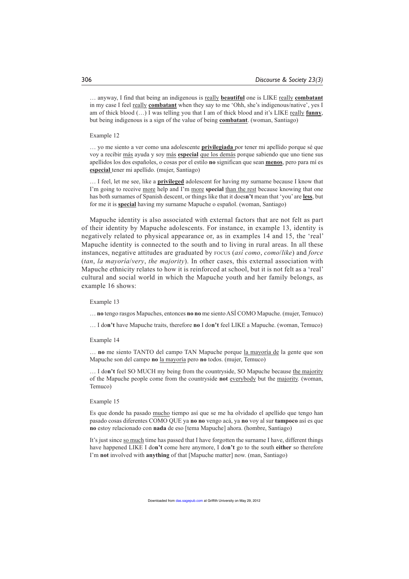… anyway, I find that being an indigenous is really **beautiful** one is LIKE really **combatant** in my case I feel really **combatant** when they say to me 'Ohh, she's indigenous/native', yes I am of thick blood (…) I was telling you that I am of thick blood and it's LIKE really **funny**, but being indigenous is a sign of the value of being **combatant**. (woman, Santiago)

Example 12

… yo me siento a ver como una adolescente **privilegiada** por tener mi apellido porque sé que voy a recibir más ayuda y soy más **especial** que los demás porque sabiendo que uno tiene sus apellidos los dos españoles, o cosas por el estilo **no** significan que sean **menos**, pero para mí es **especial** tener mi apellido. (mujer, Santiago)

… I feel, let me see, like a **privileged** adolescent for having my surname because I know that I'm going to receive more help and I'm more **special** than the rest because knowing that one has both surnames of Spanish descent, or things like that it does**n't** mean that 'you' are **less**, but for me it is **special** having my surname Mapuche o español. (woman, Santiago)

Mapuche identity is also associated with external factors that are not felt as part of their identity by Mapuche adolescents. For instance, in example 13, identity is negatively related to physical appearance or, as in examples 14 and 15, the 'real' Mapuche identity is connected to the south and to living in rural areas. In all these instances, negative attitudes are graduated by FOCUS (*así como*, *como*/*like*) and *force* (*tan*, *la mayoría*/*very*, *the majority*). In other cases, this external association with Mapuche ethnicity relates to how it is reinforced at school, but it is not felt as a 'real' cultural and social world in which the Mapuche youth and her family belongs, as example 16 shows:

Example 13

… **no** tengo rasgos Mapuches, entonces **no no** me siento ASÍ COMO Mapuche. (mujer, Temuco)

… I do**n't** have Mapuche traits, therefore **no** I do**n't** feel LIKE a Mapuche. (woman, Temuco)

Example 14

… **no** me siento TANTO del campo TAN Mapuche porque la mayoría de la gente que son Mapuche son del campo **no** la mayoría pero **no** todos. (mujer, Temuco)

… I do**n't** feel SO MUCH my being from the countryside, SO Mapuche because the majority of the Mapuche people come from the countryside **not** everybody but the majority. (woman, Temuco)

## Example 15

Es que donde ha pasado mucho tiempo así que se me ha olvidado el apellido que tengo han pasado cosas diferentes COMO QUE ya **no no** vengo acá, ya **no** voy al sur **tampoco** así es que **no** estoy relacionado con **nada** de eso [tema Mapuche] ahora. (hombre, Santiago)

It's just since so much time has passed that I have forgotten the surname I have, different things have happened LIKE I do**n't** come here anymore, I do**n't** go to the south **either** so therefore I'm **not** involved with **anything** of that [Mapuche matter] now. (man, Santiago)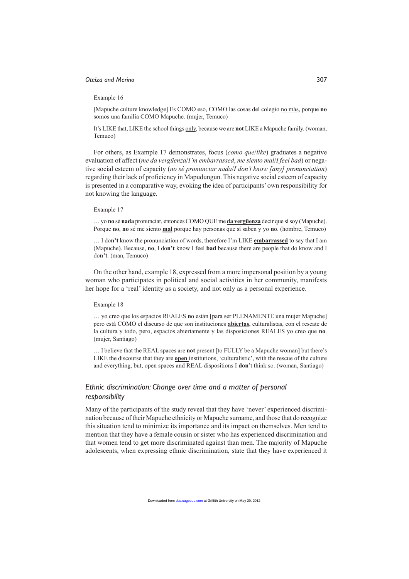[Mapuche culture knowledge] Es COMO eso, COMO las cosas del colegio no más, porque **no** somos una familia COMO Mapuche. (mujer, Temuco)

It's LIKE that, LIKE the school things only, because we are **not** LIKE a Mapuche family. (woman, Temuco)

For others, as Example 17 demonstrates, focus (*como que*/*like*) graduates a negative evaluation of affect (*me da vergüenza*/*I'm embarrassed*, *me siento mal*/*I feel bad*) or negative social esteem of capacity (*no sé pronunciar nada*/*I don't know [any] pronunciation*) regarding their lack of proficiency in Mapudungun. This negative social esteem of capacity is presented in a comparative way, evoking the idea of participants' own responsibility for not knowing the language.

#### Example 17

… yo **no** sé **nada** pronunciar, entonces COMO QUE me **da vergüenza** decir que sí soy (Mapuche). Porque **no**, **no** sé me siento **mal** porque hay personas que sí saben y yo **no**. (hombre, Temuco)

… I do**n't** know the pronunciation of words, therefore I'm LIKE **embarrassed** to say that I am (Mapuche). Because, **no**, I do**n't** know I feel **bad** because there are people that do know and I do**n't**. (man, Temuco)

On the other hand, example 18, expressed from a more impersonal position by a young woman who participates in political and social activities in her community, manifests her hope for a 'real' identity as a society, and not only as a personal experience.

## Example 18

… yo creo que los espacios REALES **no** están [para ser PLENAMENTE una mujer Mapuche] pero está COMO el discurso de que son instituciones **abiertas**, culturalistas, con el rescate de la cultura y todo, pero, espacios abiertamente y las disposiciones REALES yo creo que **no**. (mujer, Santiago)

… I believe that the REAL spaces are **not** present [to FULLY be a Mapuche woman] but there's LIKE the discourse that they are **open** institutions, 'culturalistic', with the rescue of the culture and everything, but, open spaces and REAL dispositions I **don**'t think so. (woman, Santiago)

# *Ethnic discrimination: Change over time and a matter of personal responsibility*

Many of the participants of the study reveal that they have 'never' experienced discrimination because of their Mapuche ethnicity or Mapuche surname, and those that do recognize this situation tend to minimize its importance and its impact on themselves. Men tend to mention that they have a female cousin or sister who has experienced discrimination and that women tend to get more discriminated against than men. The majority of Mapuche adolescents, when expressing ethnic discrimination, state that they have experienced it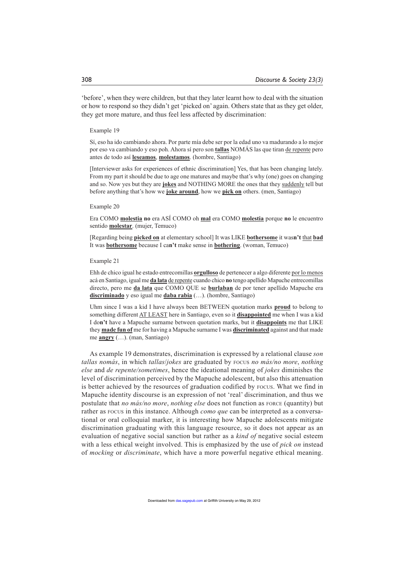'before', when they were children, but that they later learnt how to deal with the situation or how to respond so they didn't get 'picked on' again. Others state that as they get older, they get more mature, and thus feel less affected by discrimination:

## Example 19

Sí, eso ha ido cambiando ahora. Por parte mía debe ser por la edad uno va madurando a lo mejor por eso va cambiando y eso poh. Ahora sí pero son **tallas** NOMÁS las que tiran de repente pero antes de todo así **leseamos**, **molestamos**. (hombre, Santiago)

[Interviewer asks for experiences of ethnic discrimination] Yes, that has been changing lately. From my part it should be due to age one matures and maybe that's why (one) goes on changing and so. Now yes but they are **jokes** and NOTHING MORE the ones that they suddenly tell but before anything that's how we **joke around**, how we **pick on** others. (men, Santiago)

## Example 20

Era COMO **molestia no** era ASÍ COMO oh **mal** era COMO **molestia** porque **no** le encuentro sentido **molestar**. (mujer, Temuco)

[Regarding being **picked on** at elementary school] It was LIKE **bothersome** it was**n't** that **bad**  It was **bothersome** because I ca**n't** make sense in **bothering**. (woman, Temuco)

## Example 21

Ehh de chico igual he estado entrecomillas **orgulloso** de pertenecer a algo diferente por lo menos acá en Santiago, igual me **da lata** de repente cuando chico **no** tengo apellido Mapuche entrecomillas directo, pero me **da lata** que COMO QUE se **burlaban** de por tener apellido Mapuche era **discriminado** y eso igual me **daba rabia** (…). (hombre, Santiago)

Uhm since I was a kid I have always been BETWEEN quotation marks **proud** to belong to something different AT LEAST here in Santiago, even so it **disappointed** me when I was a kid I do**n't** have a Mapuche surname between quotation marks, but it **disappoints** me that LIKE they **made fun of** me for having a Mapuche surname I was **discriminated** against and that made me **angry** (…). (man, Santiago)

As example 19 demonstrates, discrimination is expressed by a relational clause *son tallas nomás*, in which *tallas*/*jokes* are graduated by FOCUS *no más/no more*, *nothing else* and *de repente/sometimes*, hence the ideational meaning of *jokes* diminishes the level of discrimination perceived by the Mapuche adolescent, but also this attenuation is better achieved by the resources of graduation codified by FOCUS. What we find in Mapuche identity discourse is an expression of not 'real' discrimination, and thus we postulate that *no más/no more*, *nothing else* does not function as FORCE (quantity) but rather as FOCUS in this instance. Although *como que* can be interpreted as a conversational or oral colloquial marker, it is interesting how Mapuche adolescents mitigate discrimination graduating with this language resource, so it does not appear as an evaluation of negative social sanction but rather as a *kind of* negative social esteem with a less ethical weight involved. This is emphasized by the use of *pick on* instead of *mocking* or *discriminate*, which have a more powerful negative ethical meaning.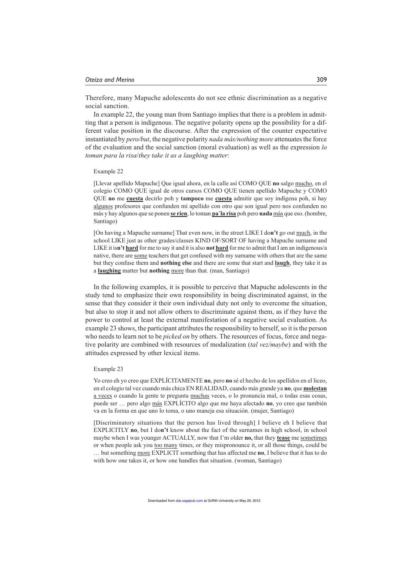Therefore, many Mapuche adolescents do not see ethnic discrimination as a negative social sanction.

In example 22, the young man from Santiago implies that there is a problem in admitting that a person is indigenous. The negative polarity opens up the possibility for a different value position in the discourse. After the expression of the counter expectative instantiated by *pero/but*, the negative polarity *nada más/nothing more* attenuates the force of the evaluation and the social sanction (moral evaluation) as well as the expression *lo toman para la risa*/*they take it as a laughing matter*:

### Example 22

[Llevar apellido Mapuche] Que igual ahora, en la calle así COMO QUE **no** salgo mucho, en el colegio COMO QUE igual de otros cursos COMO QUE tienen apellido Mapuche y COMO QUE **no** me **cuesta** decirlo poh y **tampoco** me **cuesta** admitir que soy indígena poh, si hay algunos profesores que confunden mi apellido con otro que son igual pero nos confunden no más y hay algunos que se ponen **se ríen**, lo toman **pa´la risa** poh pero **nada** más que eso. (hombre, Santiago)

[On having a Mapuche surname] That even now, in the street LIKE I do**n't** go out much, in the school LIKE just as other grades/classes KIND OF/SORT OF having a Mapuche surname and LIKE it is**n't hard** for me to say it and it is also **not hard** for me to admit that I am an indigenous/a native, there are some teachers that get confused with my surname with others that are the same but they confuse them and **nothing else** and there are some that start and **laugh**, they take it as a **laughing** matter but **nothing** more than that. (man, Santiago)

In the following examples, it is possible to perceive that Mapuche adolescents in the study tend to emphasize their own responsibility in being discriminated against, in the sense that they consider it their own individual duty not only to overcome the situation, but also to stop it and not allow others to discriminate against them, as if they have the power to control at least the external manifestation of a negative social evaluation. As example 23 shows, the participant attributes the responsibility to herself, so it is the person who needs to learn not to be *picked on* by others. The resources of focus, force and negative polarity are combined with resources of modalization (*tal vez/maybe*) and with the attitudes expressed by other lexical items.

## Example 23

Yo creo eh yo creo que EXPLÍCITAMENTE **no**, pero **no** sé el hecho de los apellidos en el liceo, en el colegio tal vez cuando más chica EN REALIDAD, cuando más grande ya **no**, que **molestan**  a veces o cuando la gente te pregunta muchas veces, o lo pronuncia mal, o todas esas cosas, puede ser … pero algo más EXPLÍCITO algo que me haya afectado **no**, yo creo que también va en la forma en que uno lo toma, o uno maneja esa situación. (mujer, Santiago)

[Discriminatory situations that the person has lived through] I believe eh I believe that EXPLICITLY **no**, but I do**n't** know about the fact of the surnames in high school, in school maybe when I was younger ACTUALLY, now that I'm older **no,** that they **tease** me sometimes or when people ask you too many times, or they mispronounce it, or all those things, could be … but something more EXPLICIT something that has affected me **no**, I believe that it has to do with how one takes it, or how one handles that situation. (woman, Santiago)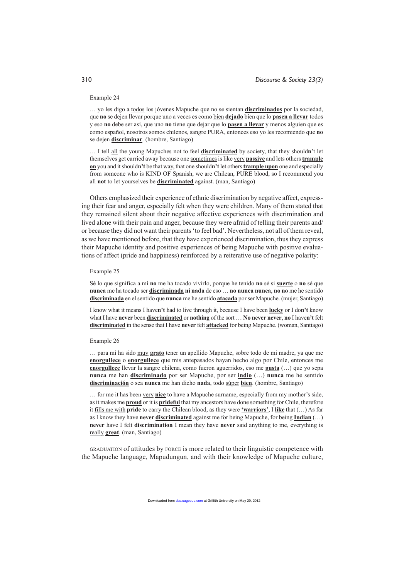… yo les digo a todos los jóvenes Mapuche que no se sientan **discriminados** por la sociedad, que **no** se dejen llevar porque uno a veces es como bien **dejado** bien que lo **pasen a llevar** todos y eso **no** debe ser así, que uno **no** tiene que dejar que lo **pasen a llevar** y menos alguien que es como español, nosotros somos chilenos, sangre PURA, entonces eso yo les recomiendo que **no** se dejen **discriminar**. (hombre, Santiago)

… I tell all the young Mapuches not to feel **discriminated** by society, that they should**n**'t let themselves get carried away because one sometimes is like very **passive** and lets others **trample on** you and it should**n't** be that way, that one should**n't** let others **trample upon** one and especially from someone who is KIND OF Spanish, we are Chilean, PURE blood, so I recommend you all **not** to let yourselves be **discriminated** against. (man, Santiago)

Others emphasized their experience of ethnic discrimination by negative affect, expressing their fear and anger, especially felt when they were children. Many of them stated that they remained silent about their negative affective experiences with discrimination and lived alone with their pain and anger, because they were afraid of telling their parents and/ or because they did not want their parents 'to feel bad'. Nevertheless, not all of them reveal, as we have mentioned before, that they have experienced discrimination, thus they express their Mapuche identity and positive experiences of being Mapuche with positive evaluations of affect (pride and happiness) reinforced by a reiterative use of negative polarity:

#### Example 25

Sé lo que significa a mí **no** me ha tocado vivirlo, porque he tenido **no** sé si **suerte** o **no** sé que **nunca** me ha tocado ser **discriminada ni nada** de eso … **no nunca nunca**, **no no** me he sentido **discriminada** en el sentido que **nunca** me he sentido **atacada** por ser Mapuche. (mujer, Santiago)

I know what it means I have**n't** had to live through it, because I have been **lucky** or I do**n't** know what I have **never** been **discriminated** or **nothing** of the sort … **No never never**, **no** I have**n't** felt **discriminated** in the sense that I have **never** felt **attacked** for being Mapuche. (woman, Santiago)

#### Example 26

… para mí ha sido muy **grato** tener un apellido Mapuche, sobre todo de mi madre, ya que me **enorgullece** o **enorgullece** que mis antepasados hayan hecho algo por Chile, entonces me **enorgullece** llevar la sangre chilena, como fueron aguerridos, eso me **gusta** (…) que yo sepa **nunca** me han **discriminado** por ser Mapuche, por ser **indio** (…) **nunca** me he sentido **discriminación** o sea **nunca** me han dicho **nada**, todo súper **bien**. (hombre, Santiago)

… for me it has been very **nice** to have a Mapuche surname, especially from my mother's side, as it makes me **proud** or it is **prideful** that my ancestors have done something for Chile, therefore it fills me with **pride** to carry the Chilean blood, as they were **'warriors'**, I **like** that (…) As far as I know they have **never discriminated** against me for being Mapuche, for being **Indian** (…) **never** have I felt **discrimination** I mean they have **never** said anything to me, everything is really **great**. (man, Santiago)

GRADUATION of attitudes by FORCE is more related to their linguistic competence with the Mapuche language, Mapudungun, and with their knowledge of Mapuche culture,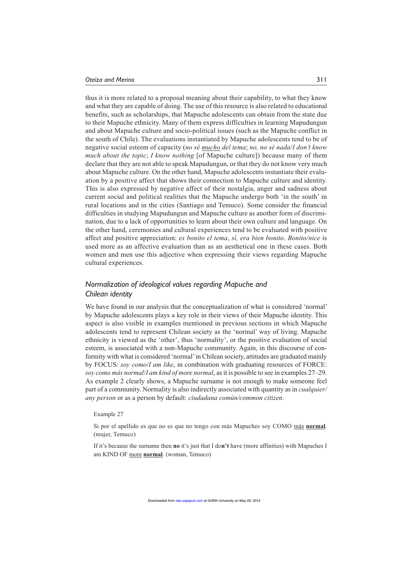thus it is more related to a proposal meaning about their capability, to what they know and what they are capable of doing. The use of this resource is also related to educational benefits, such as scholarships, that Mapuche adolescents can obtain from the state due to their Mapuche ethnicity. Many of them express difficulties in learning Mapudungun and about Mapuche culture and socio-political issues (such as the Mapuche conflict in the south of Chile). The evaluations instantiated by Mapuche adolescents tend to be of negative social esteem of capacity (*no sé mucho del tema*; *no, no sé nada*/*I don't know much about the topic*; *I know nothing* [of Mapuche culture]) because many of them declare that they are not able to speak Mapudungun, or that they do not know very much about Mapuche culture. On the other hand, Mapuche adolescents instantiate their evaluation by a positive affect that shows their connection to Mapuche culture and identity. This is also expressed by negative affect of their nostalgia, anger and sadness about current social and political realities that the Mapuche undergo both 'in the south' in rural locations and in the cities (Santiago and Temuco). Some consider the financial difficulties in studying Mapudungun and Mapuche culture as another form of discrimination, due to a lack of opportunities to learn about their own culture and language. On the other hand, ceremonies and cultural experiences tend to be evaluated with positive affect and positive appreciation: *es bonito el tema*, *sí, era bien bonito*. *Bonito/nice* is used more as an affective evaluation than as an aesthetical one in these cases. Both women and men use this adjective when expressing their views regarding Mapuche cultural experiences.

# *Normalization of ideological values regarding Mapuche and Chilean identity*

We have found in our analysis that the conceptualization of what is considered 'normal' by Mapuche adolescents plays a key role in their views of their Mapuche identity. This aspect is also visible in examples mentioned in previous sections in which Mapuche adolescents tend to represent Chilean society as the 'normal' way of living. Mapuche ethnicity is viewed as the 'other', thus 'normality', or the positive evaluation of social esteem, is associated with a non-Mapuche community. Again, in this discourse of conformity with what is considered 'normal' in Chilean society, attitudes are graduated mainly by FOCUS: *soy como*/*I am like*, in combination with graduating resources of FORCE: *soy como más normal*/*I am kind of more normal*, as it is possible to see in examples 27–29. As example 2 clearly shows, a Mapuche surname is not enough to make someone feel part of a community. Normality is also indirectly associated with quantity as in *cualquier/ any person* or as a person by default: *ciudadana común/common citizen*.

## Example 27

Si por el apellido es que no es que no tengo con más Mapuches soy COMO más **normal**. (mujer, Temuco)

If it's because the surname then **no** it's just that I do**n't** have (more affinities) with Mapuches I am KIND OF more **normal**. (woman, Temuco)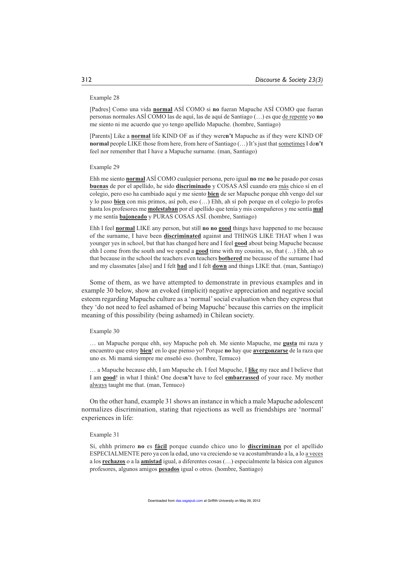[Padres] Como una vida **normal** ASÍ COMO si **no** fueran Mapuche ASÍ COMO que fueran personas normales ASÍ COMO las de aquí, las de aquí de Santiago (…) es que de repente yo **no** me siento ni me acuerdo que yo tengo apellido Mapuche. (hombre, Santiago)

[Parents] Like a **normal** life KIND OF as if they were**n't** Mapuche as if they were KIND OF **normal** people LIKE those from here, from here of Santiago (…) It's just that sometimes I do**n't** feel nor remember that I have a Mapuche surname. (man, Santiago)

## Example 29

Ehh me siento **normal** ASÍ COMO cualquier persona, pero igual **no** me **no** he pasado por cosas **buenas** de por el apellido, he sido **discriminado** y COSAS ASÍ cuando era más chico sí en el colegio, pero eso ha cambiado aquí y me siento **bien** de ser Mapuche porque ehh vengo del sur y lo paso **bien** con mis primos, así poh, eso (…) Ehh, ah sí poh porque en el colegio lo profes hasta los profesores me **molestaban** por el apellido que tenía y mis compañeros y me sentía **mal**  y me sentía **bajoneado** y PURAS COSAS ASÍ. (hombre, Santiago)

Ehh I feel **normal** LIKE any person, but still **no no good** things have happened to me because of the surname, I have been **discriminated** against and THINGS LIKE THAT when I was younger yes in school, but that has changed here and I feel **good** about being Mapuche because ehh I come from the south and we spend a **good** time with my cousins, so, that (…) Ehh, ah so that because in the school the teachers even teachers **bothered** me because of the surname I had and my classmates [also] and I felt **bad** and I felt **down** and things LIKE that. (man, Santiago)

Some of them, as we have attempted to demonstrate in previous examples and in example 30 below, show an evoked (implicit) negative appreciation and negative social esteem regarding Mapuche culture as a 'normal' social evaluation when they express that they 'do not need to feel ashamed of being Mapuche' because this carries on the implicit meaning of this possibility (being ashamed) in Chilean society.

#### Example 30

… un Mapuche porque ehh, soy Mapuche poh eh. Me siento Mapuche, me **gusta** mi raza y encuentro que estoy **bien**! en lo que pienso yo! Porque **no** hay que **avergonzarse** de la raza que uno es. Mi mamá siempre me enseñó eso. (hombre, Temuco)

… a Mapuche because ehh, I am Mapuche eh. I feel Mapuche, I **like** my race and I believe that I am **good**! in what I think! One does**n't** have to feel **embarrassed** of your race. My mother always taught me that. (man, Temuco)

On the other hand, example 31 shows an instance in which a male Mapuche adolescent normalizes discrimination, stating that rejections as well as friendships are 'normal' experiences in life:

## Example 31

Sí, ehhh primero **no** es **fácil** porque cuando chico uno lo **discriminan** por el apellido ESPECIALMENTE pero ya con la edad, uno va creciendo se va acostumbrando a la, a lo a veces a los **rechazos** o a la **amistad** igual, a diferentes cosas (…) especialmente la básica con algunos profesores, algunos amigos **pesados** igual o otros. (hombre, Santiago)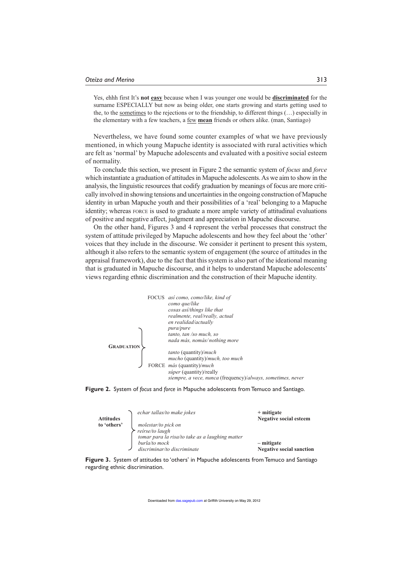Yes, ehhh first It's **not easy** because when I was younger one would be **discriminated** for the surname ESPECIALLY but now as being older, one starts growing and starts getting used to the, to the sometimes to the rejections or to the friendship, to different things (…) especially in the elementary with a few teachers, a few **mean** friends or others alike. (man, Santiago)

Nevertheless, we have found some counter examples of what we have previously mentioned, in which young Mapuche identity is associated with rural activities which are felt as 'normal' by Mapuche adolescents and evaluated with a positive social esteem of normality.

To conclude this section, we present in Figure 2 the semantic system of *focus* and *force* which instantiate a graduation of attitudes in Mapuche adolescents. As we aim to show in the analysis, the linguistic resources that codify graduation by meanings of focus are more critically involved in showing tensions and uncertainties in the ongoing construction of Mapuche identity in urban Mapuche youth and their possibilities of a 'real' belonging to a Mapuche identity; whereas FORCE is used to graduate a more ample variety of attitudinal evaluations of positive and negative affect, judgment and appreciation in Mapuche discourse.

On the other hand, Figures 3 and 4 represent the verbal processes that construct the system of attitude privileged by Mapuche adolescents and how they feel about the 'other' voices that they include in the discourse. We consider it pertinent to present this system, although it also refers to the semantic system of engagement (the source of attitudes in the appraisal framework), due to the fact that this system is also part of the ideational meaning that is graduated in Mapuche discourse, and it helps to understand Mapuche adolescents' views regarding ethnic discrimination and the construction of their Mapuche identity.





| <b>Attitudes</b> | echar tallas/to make jokes                      | $+$ mitigate<br><b>Negative social esteem</b> |
|------------------|-------------------------------------------------|-----------------------------------------------|
| to 'others'      | molestar/to pick on<br>reírse/to laugh          |                                               |
|                  |                                                 |                                               |
|                  | tomar para la risa/to take as a laughing matter |                                               |
|                  | burla/to mock                                   | – mitigate                                    |
|                  | discriminar/to discriminate                     | <b>Negative social sanction</b>               |

**Figure 3.** System of attitudes to 'others' in Mapuche adolescents from Temuco and Santiago regarding ethnic discrimination.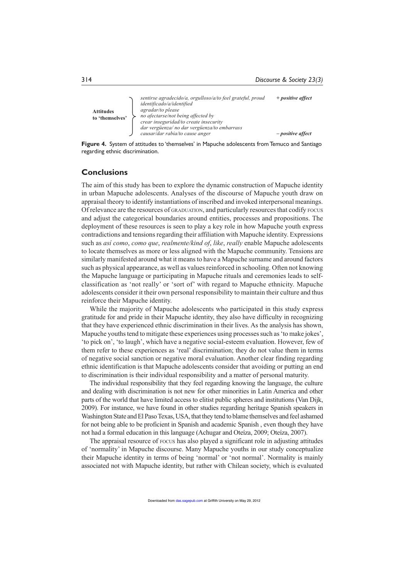| sentirse agradecido/a, orgulloso/a/to feel grateful, proud<br>identificado/a/identified<br>agradar/to please<br><b>Attitudes</b><br>no afectarse/not being affected by<br>to 'themselves'<br>crear inseguridad/to create insecurity<br>dar vergüenza/ no dar vergüenza/to embarrass<br>causar/dar rabia/to cause anger | + positive affect<br><i>- positive affect</i> |
|------------------------------------------------------------------------------------------------------------------------------------------------------------------------------------------------------------------------------------------------------------------------------------------------------------------------|-----------------------------------------------|
|------------------------------------------------------------------------------------------------------------------------------------------------------------------------------------------------------------------------------------------------------------------------------------------------------------------------|-----------------------------------------------|

**Figure 4.** System of attitudes to 'themselves' in Mapuche adolescents from Temuco and Santiago regarding ethnic discrimination.

# **Conclusions**

The aim of this study has been to explore the dynamic construction of Mapuche identity in urban Mapuche adolescents. Analyses of the discourse of Mapuche youth draw on appraisal theory to identify instantiations of inscribed and invoked interpersonal meanings. Of relevance are the resources of GRADUATION, and particularly resources that codify FOCUS and adjust the categorical boundaries around entities, processes and propositions. The deployment of these resources is seen to play a key role in how Mapuche youth express contradictions and tensions regarding their affiliation with Mapuche identity. Expressions such as *así como*, *como que*, *realmente/kind of*, *like*, *really* enable Mapuche adolescents to locate themselves as more or less aligned with the Mapuche community. Tensions are similarly manifested around what it means to have a Mapuche surname and around factors such as physical appearance, as well as values reinforced in schooling. Often not knowing the Mapuche language or participating in Mapuche rituals and ceremonies leads to selfclassification as 'not really' or 'sort of' with regard to Mapuche ethnicity. Mapuche adolescents consider it their own personal responsibility to maintain their culture and thus reinforce their Mapuche identity.

While the majority of Mapuche adolescents who participated in this study express gratitude for and pride in their Mapuche identity, they also have difficulty in recognizing that they have experienced ethnic discrimination in their lives. As the analysis has shown, Mapuche youths tend to mitigate these experiences using processes such as 'to make jokes', 'to pick on', 'to laugh', which have a negative social-esteem evaluation. However, few of them refer to these experiences as 'real' discrimination; they do not value them in terms of negative social sanction or negative moral evaluation. Another clear finding regarding ethnic identification is that Mapuche adolescents consider that avoiding or putting an end to discrimination is their individual responsibility and a matter of personal maturity.

The individual responsibility that they feel regarding knowing the language, the culture and dealing with discrimination is not new for other minorities in Latin America and other parts of the world that have limited access to elitist public spheres and institutions (Van Dijk, 2009). For instance, we have found in other studies regarding heritage Spanish speakers in Washington State and El Paso Texas, USA, that they tend to blame themselves and feel ashamed for not being able to be proficient in Spanish and academic Spanish , even though they have not had a formal education in this language (Achugar and Oteíza, 2009; Oteíza, 2007).

The appraisal resource of FOCUS has also played a significant role in adjusting attitudes of 'normality' in Mapuche discourse. Many Mapuche youths in our study conceptualize their Mapuche identity in terms of being 'normal' or 'not normal'. Normality is mainly associated not with Mapuche identity, but rather with Chilean society, which is evaluated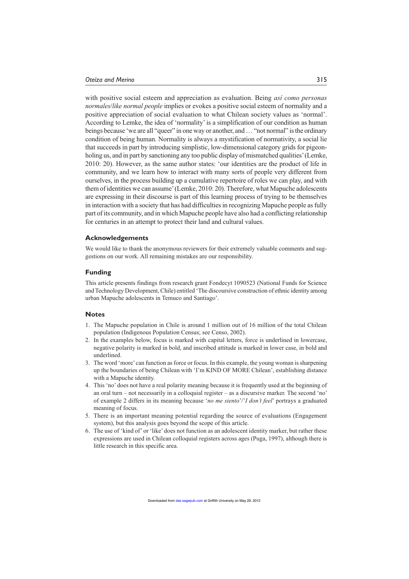with positive social esteem and appreciation as evaluation. Being *así como personas normales*/*like normal people* implies or evokes a positive social esteem of normality and a positive appreciation of social evaluation to what Chilean society values as 'normal'. According to Lemke, the idea of 'normality' is a simplification of our condition as human beings because 'we are all "queer" in one way or another, and ... "not normal" is the ordinary condition of being human. Normality is always a mystification of normativity, a social lie that succeeds in part by introducing simplistic, low-dimensional category grids for pigeonholing us, and in part by sanctioning any too public display of mismatched qualities' (Lemke, 2010: 20). However, as the same author states: 'our identities are the product of life in community, and we learn how to interact with many sorts of people very different from ourselves, in the process building up a cumulative repertoire of roles we can play, and with them of identities we can assume' (Lemke, 2010: 20). Therefore, what Mapuche adolescents are expressing in their discourse is part of this learning process of trying to be themselves in interaction with a society that has had difficulties in recognizing Mapuche people as fully part of its community, and in which Mapuche people have also had a conflicting relationship for centuries in an attempt to protect their land and cultural values.

## **Acknowledgements**

We would like to thank the anonymous reviewers for their extremely valuable comments and suggestions on our work. All remaining mistakes are our responsibility.

## **Funding**

This article presents findings from research grant Fondecyt 1090523 (National Funds for Science and Technology Development, Chile) entitled 'The discoursive construction of ethnic identity among urban Mapuche adolescents in Temuco and Santiago'.

## **Notes**

- 1. The Mapuche population in Chile is around 1 million out of 16 million of the total Chilean population (Indigenous Population Census; see Censo, 2002).
- 2. In the examples below, focus is marked with capital letters, force is underlined in lowercase, negative polarity is marked in bold, and inscribed attitude is marked in lower case, in bold and underlined.
- 3. The word 'more' can function as force or focus. In this example, the young woman is sharpening up the boundaries of being Chilean with 'I'm KIND OF MORE Chilean', establishing distance with a Mapuche identity.
- 4. This 'no' does not have a real polarity meaning because it is frequently used at the beginning of an oral turn – not necessarily in a colloquial register – as a discursive marker. The second 'no' of example 2 differs in its meaning because '*no me siento*'/'*I don't feel*' portrays a graduated meaning of focus.
- 5. There is an important meaning potential regarding the source of evaluations (Engagement system), but this analysis goes beyond the scope of this article.
- 6. The use of 'kind of' or 'like' does not function as an adolescent identity marker, but rather these expressions are used in Chilean colloquial registers across ages (Puga, 1997), although there is little research in this specific area.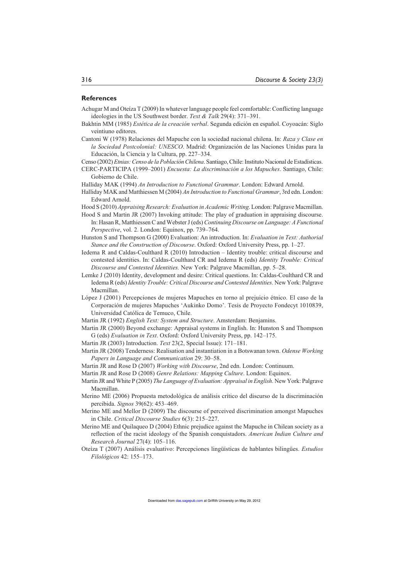## **References**

Achugar M and Oteíza T (2009) In whatever language people feel comfortable: Conflicting language ideologies in the US Southwest border. *Text & Talk* 29(4): 371–391.

Bakhtin MM (1985) *Estética de la creación verbal*. Segunda edición en español. Coyoacán: Siglo veintiuno editores.

Cantoni W (1978) Relaciones del Mapuche con la sociedad nacional chilena. In: *Raza y Clase en la Sociedad Postcolonial: UNESCO*. Madrid: Organización de las Naciones Unidas para la Educación, la Ciencia y la Cultura, pp. 227–334.

Censo (2002) *Etnias: Censo de la Población Chilena*. Santiago, Chile: Instituto Nacional de Estadísticas.

CERC-PARTICIPA (1999–2001) *Encuesta: La discriminación a los Mapuches*. Santiago, Chile: Gobierno de Chile.

Halliday MAK (1994) *An Introduction to Functional Grammar*. London: Edward Arnold.

Halliday MAK and Matthiessen M (2004) *An Introduction to Functional Grammar*, 3rd edn. London: Edward Arnold.

Hood S (2010) *Appraising Research: Evaluation in Academic Writing*. London: Palgrave Macmillan.

- Hood S and Martin JR (2007) Invoking attitude: The play of graduation in appraising discourse. In: Hasan R, Matthiessen C and Webster J (eds) *Continuing Discourse on Language: A Functional Perspective*, vol. 2. London: Equinox, pp. 739–764.
- Hunston S and Thompson G (2000) Evaluation: An introduction. In: *Evaluation in Text: Authorial Stance and the Construction of Discourse*. Oxford: Oxford University Press, pp. 1–27.
- Iedema R and Caldas-Coulthard R (2010) Introduction Identity trouble: critical discourse and contested identities. In: Caldas-Coulthard CR and Iedema R (eds) *Identity Trouble: Critical Discourse and Contested Identities.* New York: Palgrave Macmillan, pp. 5–28.
- Lemke J (2010) Identity, development and desire: Critical questions. In: Caldas-Coulthard CR and Iedema R (eds) *Identity Trouble: Critical Discourse and Contested Identities*. New York: Palgrave Macmillan.
- López J (2001) Percepciones de mujeres Mapuches en torno al prejuicio étnico. El caso de la Corporación de mujeres Mapuches 'Aukinko Domo'. Tesis de Proyecto Fondecyt 1010839, Universidad Católica de Temuco, Chile.

Martin JR (1992) *English Text: System and Structure*. Amsterdam: Benjamins.

Martin JR (2000) Beyond exchange: Appraisal systems in English. In: Hunston S and Thompson G (eds) *Evaluation in Text*. Oxford: Oxford University Press, pp. 142–175.

Martin JR (2003) Introduction. *Text* 23(2, Special Issue): 171–181.

Martin JR (2008) Tenderness: Realisation and instantiation in a Botswanan town. *Odense Working Papers in Language and Communication* 29: 30–58.

Martin JR and Rose D (2007) *Working with Discourse*, 2nd edn. London: Continuum.

- Martin JR and Rose D (2008) *Genre Relations: Mapping Culture*. London: Equinox.
- Martin JR and White P (2005) *The Language of Evaluation: Appraisal in English*. New York: Palgrave Macmillan.
- Merino ME (2006) Propuesta metodológica de análisis crítico del discurso de la discriminación percibida. *Signos* 39(62): 453–469.
- Merino ME and Mellor D (2009) The discourse of perceived discrimination amongst Mapuches in Chile. *Critical Discourse Studies* 6(3): 215–227.
- Merino ME and Quilaqueo D (2004) Ethnic prejudice against the Mapuche in Chilean society as a reflection of the racist ideology of the Spanish conquistadors. *American Indian Culture and Research Journal* 27(4): 105–116.
- Oteíza T (2007) Análisis evaluativo: Percepciones lingüísticas de hablantes bilingües. *Estudios Filológicos* 42: 155–173.